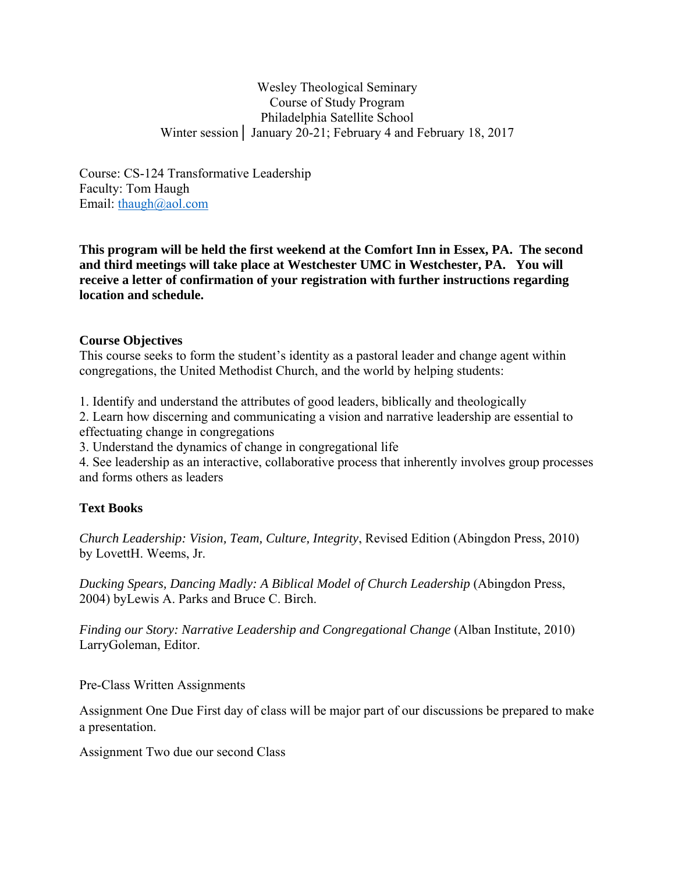Wesley Theological Seminary Course of Study Program Philadelphia Satellite School Winter session│ January 20-21; February 4 and February 18, 2017

Course: CS-124 Transformative Leadership Faculty: Tom Haugh Email: thaugh@aol.com

**This program will be held the first weekend at the Comfort Inn in Essex, PA. The second and third meetings will take place at Westchester UMC in Westchester, PA. You will receive a letter of confirmation of your registration with further instructions regarding location and schedule.** 

### **Course Objectives**

This course seeks to form the student's identity as a pastoral leader and change agent within congregations, the United Methodist Church, and the world by helping students:

1. Identify and understand the attributes of good leaders, biblically and theologically

2. Learn how discerning and communicating a vision and narrative leadership are essential to effectuating change in congregations

3. Understand the dynamics of change in congregational life

4. See leadership as an interactive, collaborative process that inherently involves group processes and forms others as leaders

# **Text Books**

*Church Leadership: Vision, Team, Culture, Integrity*, Revised Edition (Abingdon Press, 2010) by LovettH. Weems, Jr.

*Ducking Spears, Dancing Madly: A Biblical Model of Church Leadership (Abingdon Press,* 2004) byLewis A. Parks and Bruce C. Birch.

*Finding our Story: Narrative Leadership and Congregational Change* (Alban Institute, 2010) LarryGoleman, Editor.

Pre-Class Written Assignments

Assignment One Due First day of class will be major part of our discussions be prepared to make a presentation.

Assignment Two due our second Class